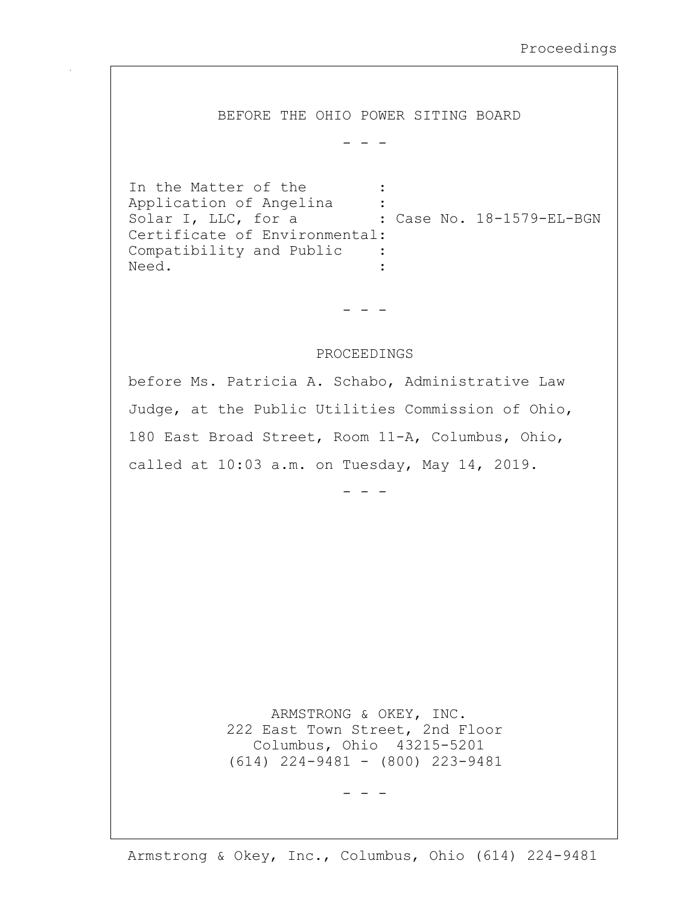BEFORE THE OHIO POWER SITING BOARD

- - -

In the Matter of the : Application of Angelina : solar I, LLC, for a : Case No. 18-1579-EL-BGN Certificate of Environmental: Compatibility and Public : Need.  $\qquad \qquad :$ 

- - -

## PROCEEDINGS

before Ms. Patricia A. Schabo, Administrative Law Judge, at the Public Utilities Commission of Ohio, 180 East Broad Street, Room 11-A, Columbus, Ohio, called at 10:03 a.m. on Tuesday, May 14, 2019.

- - -

 ARMSTRONG & OKEY, INC. 222 East Town Street, 2nd Floor Columbus, Ohio 43215-5201 (614) 224-9481 - (800) 223-9481

- - -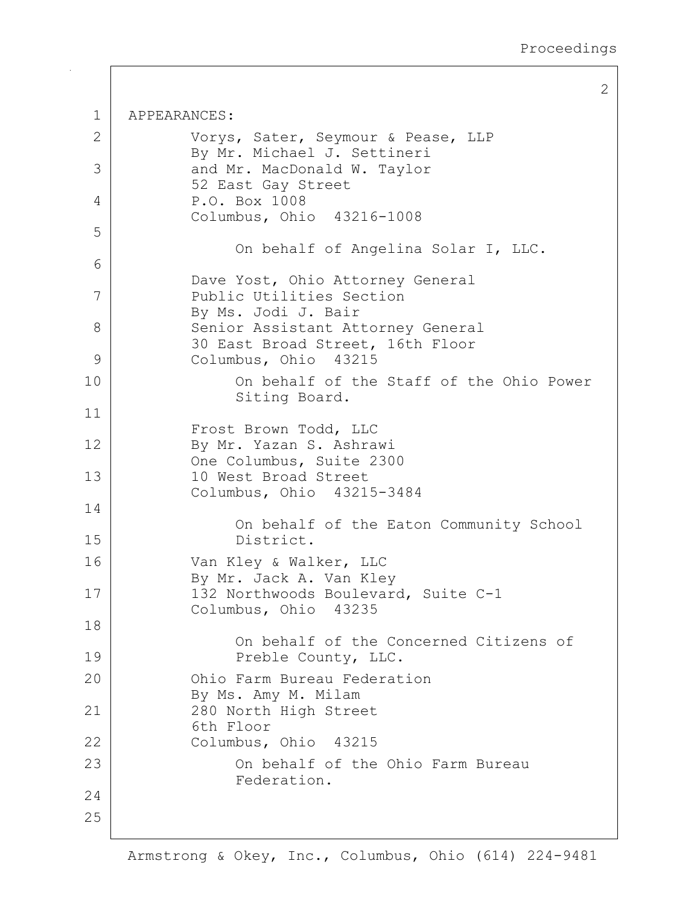2

```
1 APPEARANCES:
2 | Vorys, Sater, Seymour & Pease, LLP
           By Mr. Michael J. Settineri
 3 and Mr. MacDonald W. Taylor
           52 East Gay Street
 4 P.O. Box 1008
           Columbus, Ohio 43216-1008
5
                On behalf of Angelina Solar I, LLC.
 6
           Dave Yost, Ohio Attorney General
7 Public Utilities Section
           By Ms. Jodi J. Bair
8 Senior Assistant Attorney General
           30 East Broad Street, 16th Floor
9 Columbus, Ohio 43215
10 On behalf of the Staff of the Ohio Power
                Siting Board.
11
           Frost Brown Todd, LLC
12 | By Mr. Yazan S. Ashrawi
           One Columbus, Suite 2300
13 10 West Broad Street
           Columbus, Ohio 43215-3484
14
                On behalf of the Eaton Community School
15 District.
16 Van Kley & Walker, LLC
           By Mr. Jack A. Van Kley
17 | 132 Northwoods Boulevard, Suite C-1
           Columbus, Ohio 43235
18
                On behalf of the Concerned Citizens of
19 | Preble County, LLC.
20 Ohio Farm Bureau Federation
           By Ms. Amy M. Milam
21 280 North High Street
           6th Floor
22 Columbus, Ohio 43215
23 On behalf of the Ohio Farm Bureau
                Federation.
24
25
```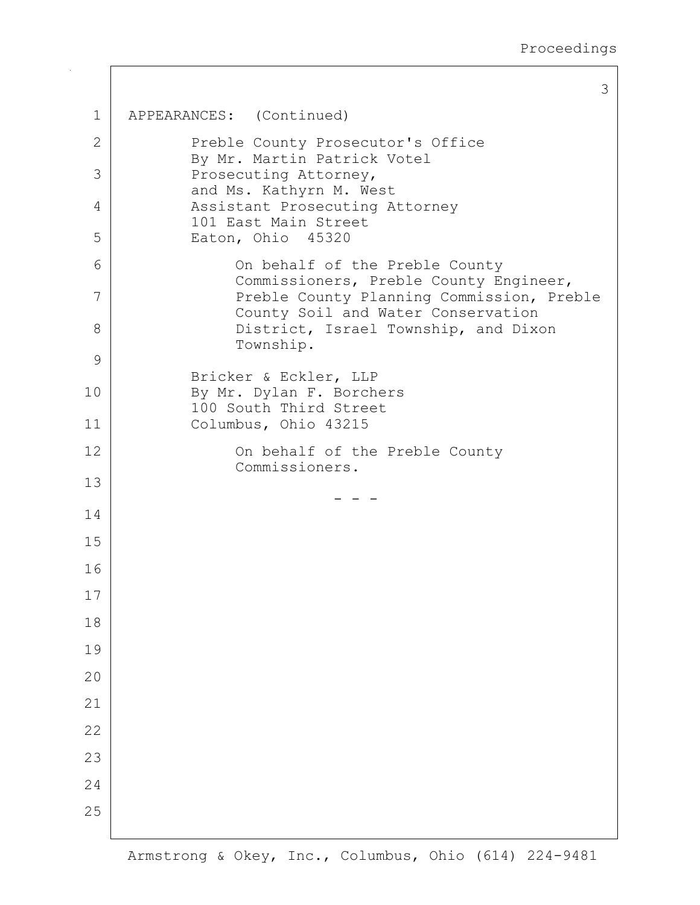```
3
1 APPEARANCES: (Continued)
2 | Preble County Prosecutor's Office
           By Mr. Martin Patrick Votel
3 Prosecuting Attorney,
           and Ms. Kathyrn M. West
 4 | Assistant Prosecuting Attorney
           101 East Main Street
5 Eaton, Ohio 45320
6 On behalf of the Preble County
               Commissioners, Preble County Engineer,
 7 Preble County Planning Commission, Preble
               County Soil and Water Conservation
8 | District, Israel Township, and Dixon
               Township.
9
           Bricker & Eckler, LLP
10 By Mr. Dylan F. Borchers
           100 South Third Street
11 Columbus, Ohio 43215
12 | Con behalf of the Preble County
               Commissioners.
13
     - - -
14
15
16
17
18
19
20
21
22
23
24
25
```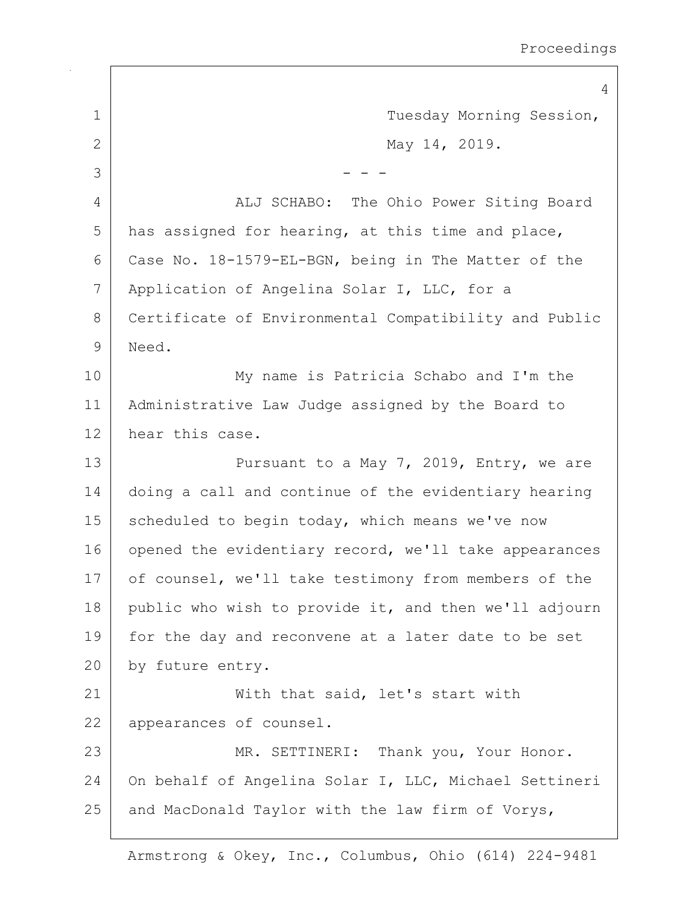4 1 Tuesday Morning Session, 2 May 14, 2019.  $3 \mid - - -$ 4 ALJ SCHABO: The Ohio Power Siting Board  $5$  has assigned for hearing, at this time and place, 6 Case No. 18-1579-EL-BGN, being in The Matter of the 7 Application of Angelina Solar I, LLC, for a 8 Certificate of Environmental Compatibility and Public 9 Need. 10 My name is Patricia Schabo and I'm the 11 Administrative Law Judge assigned by the Board to 12 hear this case. 13 **Pursuant to a May 7, 2019, Entry, we are** 14 doing a call and continue of the evidentiary hearing 15 | scheduled to begin today, which means we've now 16 opened the evidentiary record, we'll take appearances 17 of counsel, we'll take testimony from members of the 18 public who wish to provide it, and then we'll adjourn 19 | for the day and reconvene at a later date to be set 20 by future entry. 21 | With that said, let's start with 22 appearances of counsel. 23 | MR. SETTINERI: Thank you, Your Honor. 24 On behalf of Angelina Solar I, LLC, Michael Settineri  $25$  and MacDonald Taylor with the law firm of Vorys,

Armstrong & Okey, Inc., Columbus, Ohio (614) 224-9481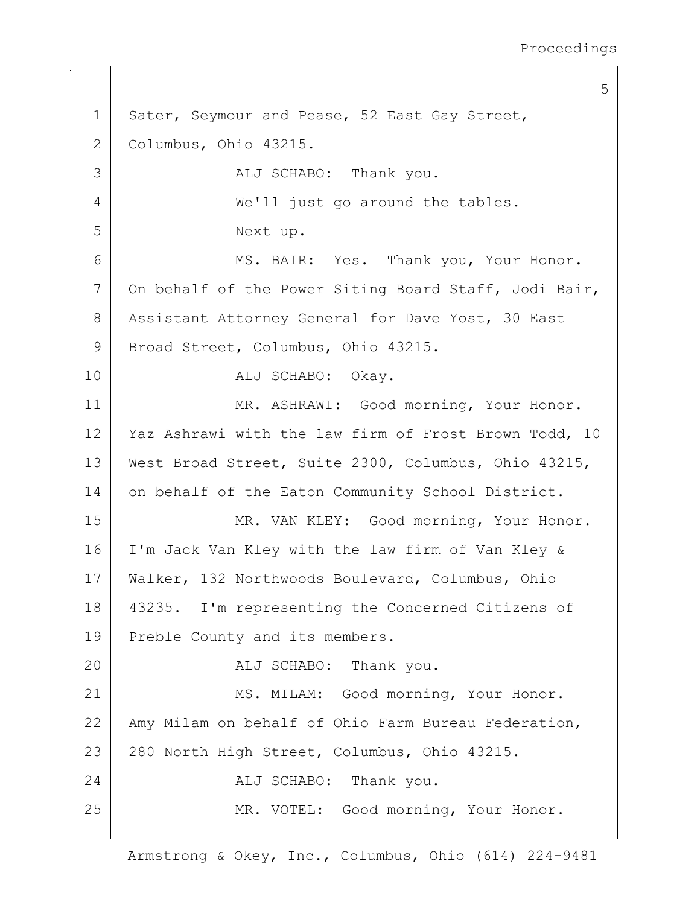Proceedings

5 1 | Sater, Seymour and Pease, 52 East Gay Street, 2 Columbus, Ohio 43215. 3 ALJ SCHABO: Thank you. 4 We'll just go around the tables. 5 Next up. 6 MS. BAIR: Yes. Thank you, Your Honor. 7 On behalf of the Power Siting Board Staff, Jodi Bair, 8 | Assistant Attorney General for Dave Yost, 30 East 9 | Broad Street, Columbus, Ohio 43215. 10 ALJ SCHABO: Okay. 11 | MR. ASHRAWI: Good morning, Your Honor. 12 | Yaz Ashrawi with the law firm of Frost Brown Todd, 10 13 | West Broad Street, Suite 2300, Columbus, Ohio 43215, 14 on behalf of the Eaton Community School District. 15 MR. VAN KLEY: Good morning, Your Honor. 16 I'm Jack Van Kley with the law firm of Van Kley & 17 Walker, 132 Northwoods Boulevard, Columbus, Ohio 18 43235. I'm representing the Concerned Citizens of 19 Preble County and its members. 20 ALJ SCHABO: Thank you. 21 | MS. MILAM: Good morning, Your Honor. 22 | Amy Milam on behalf of Ohio Farm Bureau Federation, 23 280 North High Street, Columbus, Ohio 43215. 24 ALJ SCHABO: Thank you. 25 | MR. VOTEL: Good morning, Your Honor.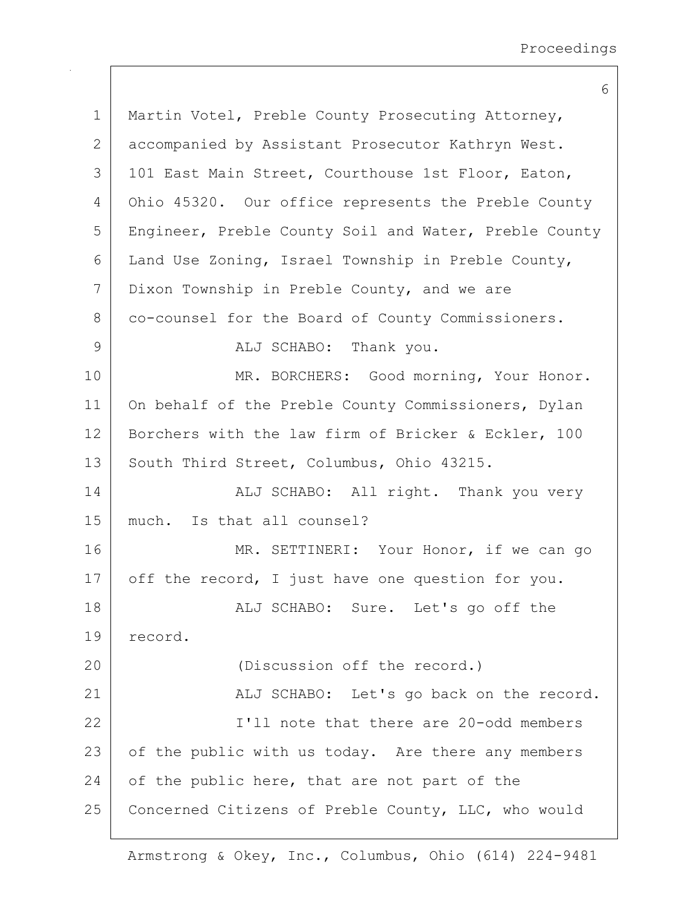|               | 6                                                     |
|---------------|-------------------------------------------------------|
| $\mathbf 1$   | Martin Votel, Preble County Prosecuting Attorney,     |
| $\mathbf{2}$  | accompanied by Assistant Prosecutor Kathryn West.     |
| 3             | 101 East Main Street, Courthouse 1st Floor, Eaton,    |
| 4             | Ohio 45320. Our office represents the Preble County   |
| 5             | Engineer, Preble County Soil and Water, Preble County |
| 6             | Land Use Zoning, Israel Township in Preble County,    |
| 7             | Dixon Township in Preble County, and we are           |
| 8             | co-counsel for the Board of County Commissioners.     |
| $\mathcal{G}$ | ALJ SCHABO: Thank you.                                |
| 10            | MR. BORCHERS: Good morning, Your Honor.               |
| 11            | On behalf of the Preble County Commissioners, Dylan   |
| 12            | Borchers with the law firm of Bricker & Eckler, 100   |
| 13            | South Third Street, Columbus, Ohio 43215.             |
| 14            | ALJ SCHABO: All right. Thank you very                 |
| 15            | much. Is that all counsel?                            |
| 16            | MR. SETTINERI: Your Honor, if we can go               |
| 17            | off the record, I just have one question for you.     |
| 18            | ALJ SCHABO: Sure. Let's go off the                    |
| 19            | record.                                               |
| 20            | (Discussion off the record.)                          |
| 21            | ALJ SCHABO: Let's go back on the record.              |
| 22            | I'll note that there are 20-odd members               |
| 23            | of the public with us today. Are there any members    |
| 24            | of the public here, that are not part of the          |
| 25            | Concerned Citizens of Preble County, LLC, who would   |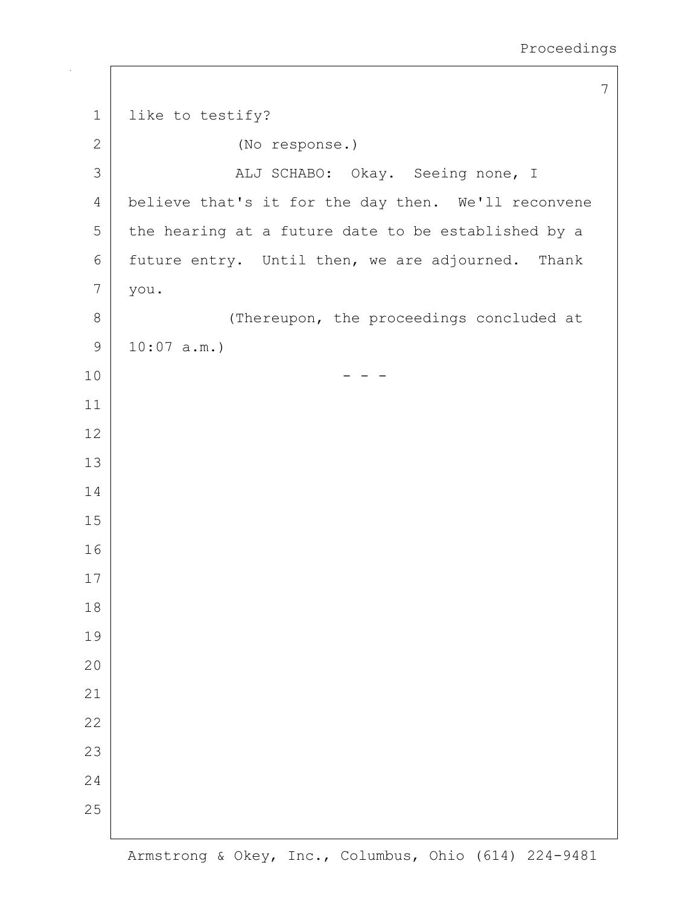```
7
1 like to testify?
2 (No response.)
3 ALJ SCHABO: Okay. Seeing none, I
4 believe that's it for the day then. We'll reconvene
5 the hearing at a future date to be established by a
6 future entry. Until then, we are adjourned. Thank
7 you.
8 (Thereupon, the proceedings concluded at
9 10:07 a.m.)
10 - - -
11
12
13
14
15
16
17
18
19
20
21
22
23
24
25
```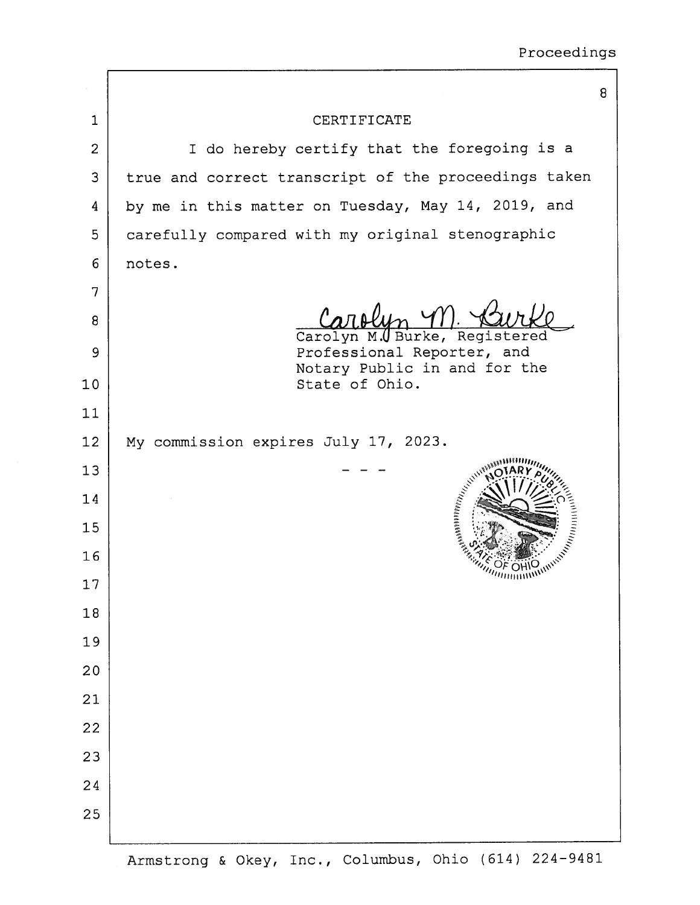|                |                                                                                                                                                                                                                          | 8 |
|----------------|--------------------------------------------------------------------------------------------------------------------------------------------------------------------------------------------------------------------------|---|
| 1              | CERTIFICATE                                                                                                                                                                                                              |   |
| $\overline{2}$ | I do hereby certify that the foregoing is a                                                                                                                                                                              |   |
| 3              | true and correct transcript of the proceedings taken                                                                                                                                                                     |   |
| 4              | by me in this matter on Tuesday, May 14, 2019, and                                                                                                                                                                       |   |
| 5              | carefully compared with my original stenographic                                                                                                                                                                         |   |
| 6              | notes.                                                                                                                                                                                                                   |   |
| 7              |                                                                                                                                                                                                                          |   |
| 8              | Carolyn M.U Burke, Registered                                                                                                                                                                                            |   |
| 9              | Professional Reporter, and                                                                                                                                                                                               |   |
| 10             | Notary Public in and for the<br>State of Ohio.                                                                                                                                                                           |   |
| 11             |                                                                                                                                                                                                                          |   |
| 12             | My commission expires July 17, 2023.                                                                                                                                                                                     |   |
| 13             |                                                                                                                                                                                                                          |   |
| 14             | $\mathcal{N}_{\mathcal{N}_{\mathcal{L}_{\mathcal{L}_{\mathcal{L}_{\mathcal{L}}}}}}^{(i)}\mathcal{N}_{\mathcal{N}_{\mathcal{N}_{\mathcal{L}}}}^{(i)}\mathcal{N}_{\mathcal{N}_{\mathcal{L}_{\mathcal{L}_{\mathcal{L}}}}}}$ |   |
| 15             |                                                                                                                                                                                                                          |   |
| 16             |                                                                                                                                                                                                                          |   |
| 17             |                                                                                                                                                                                                                          |   |
| 18             |                                                                                                                                                                                                                          |   |
| 19             |                                                                                                                                                                                                                          |   |
| 20             |                                                                                                                                                                                                                          |   |
| 21             |                                                                                                                                                                                                                          |   |
| 22             |                                                                                                                                                                                                                          |   |
| 23             |                                                                                                                                                                                                                          |   |
| 24             |                                                                                                                                                                                                                          |   |
| 25             |                                                                                                                                                                                                                          |   |
|                |                                                                                                                                                                                                                          |   |

Armstrong & Okey, Inc., Columbus, Ohio (614) 224-9481